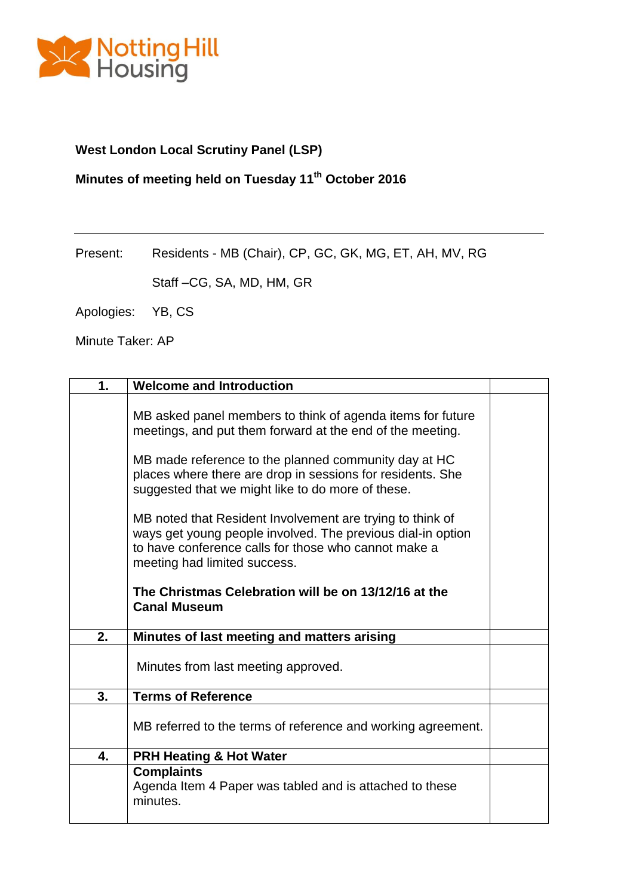

### **West London Local Scrutiny Panel (LSP)**

## **Minutes of meeting held on Tuesday 11th October 2016**

Present: Residents - MB (Chair), CP, GC, GK, MG, ET, AH, MV, RG

Staff –CG, SA, MD, HM, GR

Apologies: YB, CS

Minute Taker: AP

| 1. | <b>Welcome and Introduction</b>                                                                                                                                                                                  |  |
|----|------------------------------------------------------------------------------------------------------------------------------------------------------------------------------------------------------------------|--|
|    | MB asked panel members to think of agenda items for future<br>meetings, and put them forward at the end of the meeting.                                                                                          |  |
|    | MB made reference to the planned community day at HC<br>places where there are drop in sessions for residents. She<br>suggested that we might like to do more of these.                                          |  |
|    | MB noted that Resident Involvement are trying to think of<br>ways get young people involved. The previous dial-in option<br>to have conference calls for those who cannot make a<br>meeting had limited success. |  |
|    | The Christmas Celebration will be on 13/12/16 at the<br><b>Canal Museum</b>                                                                                                                                      |  |
| 2. | Minutes of last meeting and matters arising                                                                                                                                                                      |  |
|    | Minutes from last meeting approved.                                                                                                                                                                              |  |
| 3. | <b>Terms of Reference</b>                                                                                                                                                                                        |  |
|    | MB referred to the terms of reference and working agreement.                                                                                                                                                     |  |
| 4. | <b>PRH Heating &amp; Hot Water</b>                                                                                                                                                                               |  |
|    | <b>Complaints</b><br>Agenda Item 4 Paper was tabled and is attached to these<br>minutes.                                                                                                                         |  |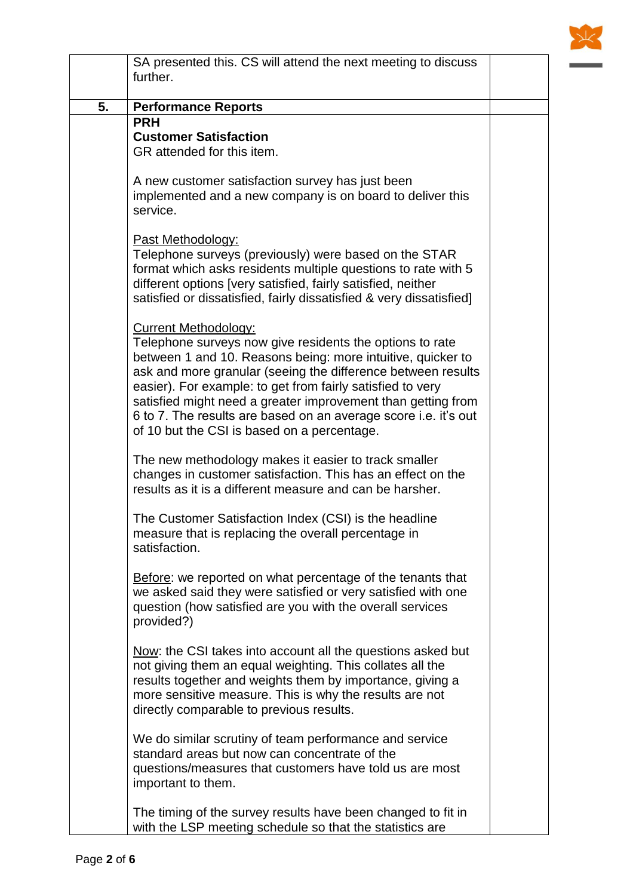

|    | SA presented this. CS will attend the next meeting to discuss<br>further.                                                                                                                                                                                                                                                                                                                                                                                              |  |
|----|------------------------------------------------------------------------------------------------------------------------------------------------------------------------------------------------------------------------------------------------------------------------------------------------------------------------------------------------------------------------------------------------------------------------------------------------------------------------|--|
| 5. | <b>Performance Reports</b>                                                                                                                                                                                                                                                                                                                                                                                                                                             |  |
|    | <b>PRH</b><br><b>Customer Satisfaction</b><br>GR attended for this item.                                                                                                                                                                                                                                                                                                                                                                                               |  |
|    | A new customer satisfaction survey has just been<br>implemented and a new company is on board to deliver this<br>service.                                                                                                                                                                                                                                                                                                                                              |  |
|    | Past Methodology:<br>Telephone surveys (previously) were based on the STAR<br>format which asks residents multiple questions to rate with 5<br>different options [very satisfied, fairly satisfied, neither<br>satisfied or dissatisfied, fairly dissatisfied & very dissatisfied]                                                                                                                                                                                     |  |
|    | <b>Current Methodology:</b><br>Telephone surveys now give residents the options to rate<br>between 1 and 10. Reasons being: more intuitive, quicker to<br>ask and more granular (seeing the difference between results<br>easier). For example: to get from fairly satisfied to very<br>satisfied might need a greater improvement than getting from<br>6 to 7. The results are based on an average score i.e. it's out<br>of 10 but the CSI is based on a percentage. |  |
|    | The new methodology makes it easier to track smaller<br>changes in customer satisfaction. This has an effect on the<br>results as it is a different measure and can be harsher.                                                                                                                                                                                                                                                                                        |  |
|    | The Customer Satisfaction Index (CSI) is the headline<br>measure that is replacing the overall percentage in<br>satisfaction.                                                                                                                                                                                                                                                                                                                                          |  |
|    | Before: we reported on what percentage of the tenants that<br>we asked said they were satisfied or very satisfied with one<br>question (how satisfied are you with the overall services<br>provided?)                                                                                                                                                                                                                                                                  |  |
|    | Now: the CSI takes into account all the questions asked but<br>not giving them an equal weighting. This collates all the<br>results together and weights them by importance, giving a<br>more sensitive measure. This is why the results are not<br>directly comparable to previous results.                                                                                                                                                                           |  |
|    | We do similar scrutiny of team performance and service<br>standard areas but now can concentrate of the<br>questions/measures that customers have told us are most<br>important to them.                                                                                                                                                                                                                                                                               |  |
|    | The timing of the survey results have been changed to fit in<br>with the LSP meeting schedule so that the statistics are                                                                                                                                                                                                                                                                                                                                               |  |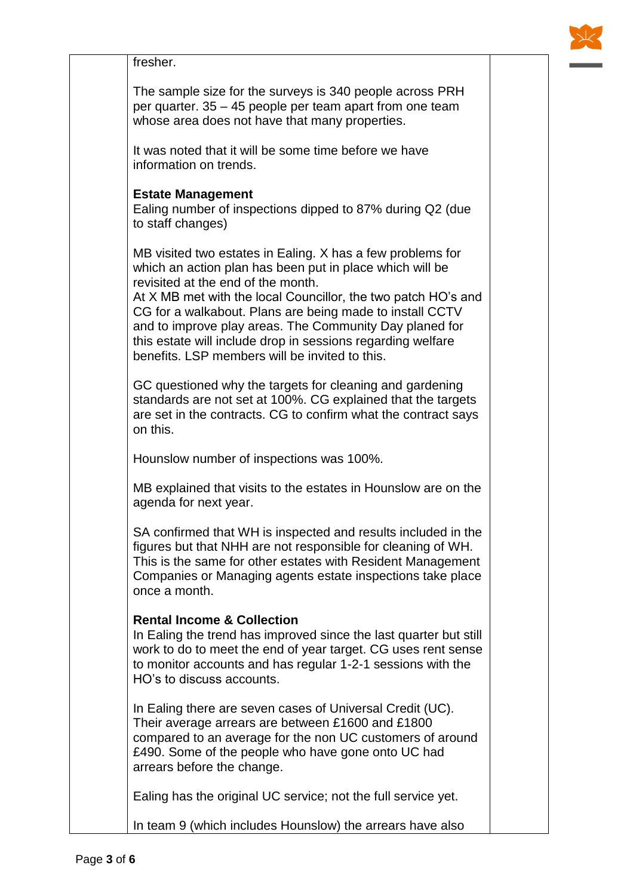

fresher. The sample size for the surveys is 340 people across PRH per quarter. 35 – 45 people per team apart from one team whose area does not have that many properties. It was noted that it will be some time before we have information on trends. **Estate Management** Ealing number of inspections dipped to 87% during Q2 (due to staff changes) MB visited two estates in Ealing. X has a few problems for which an action plan has been put in place which will be revisited at the end of the month. At X MB met with the local Councillor, the two patch HO's and CG for a walkabout. Plans are being made to install CCTV and to improve play areas. The Community Day planed for this estate will include drop in sessions regarding welfare benefits. LSP members will be invited to this. GC questioned why the targets for cleaning and gardening standards are not set at 100%. CG explained that the targets are set in the contracts. CG to confirm what the contract says on this. Hounslow number of inspections was 100%. MB explained that visits to the estates in Hounslow are on the agenda for next year. SA confirmed that WH is inspected and results included in the figures but that NHH are not responsible for cleaning of WH. This is the same for other estates with Resident Management Companies or Managing agents estate inspections take place once a month. **Rental Income & Collection** In Ealing the trend has improved since the last quarter but still work to do to meet the end of year target. CG uses rent sense to monitor accounts and has regular 1-2-1 sessions with the HO's to discuss accounts. In Ealing there are seven cases of Universal Credit (UC). Their average arrears are between £1600 and £1800 compared to an average for the non UC customers of around £490. Some of the people who have gone onto UC had arrears before the change. Ealing has the original UC service; not the full service yet.

In team 9 (which includes Hounslow) the arrears have also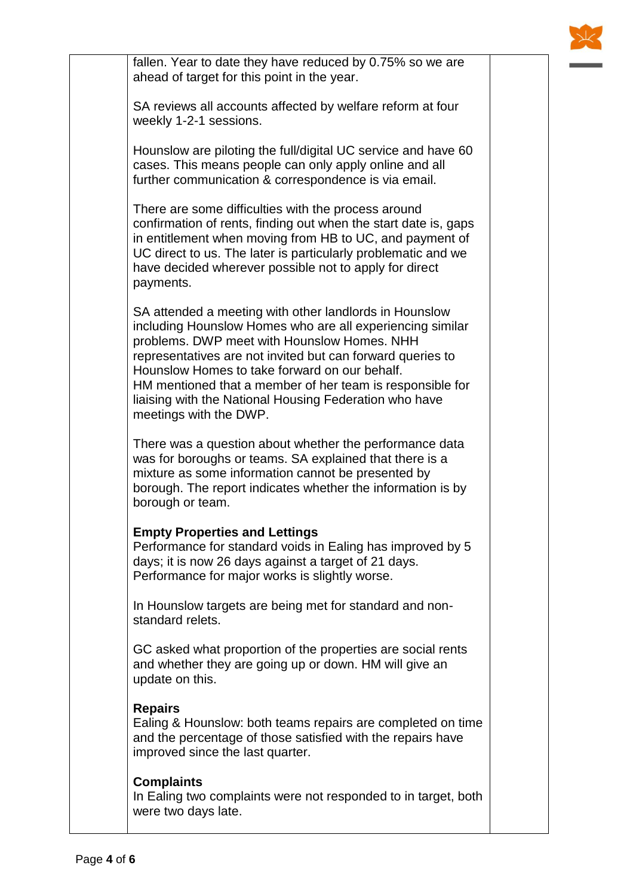

fallen. Year to date they have reduced by 0.75% so we are ahead of target for this point in the year.

SA reviews all accounts affected by welfare reform at four weekly 1-2-1 sessions.

Hounslow are piloting the full/digital UC service and have 60 cases. This means people can only apply online and all further communication & correspondence is via email.

There are some difficulties with the process around confirmation of rents, finding out when the start date is, gaps in entitlement when moving from HB to UC, and payment of UC direct to us. The later is particularly problematic and we have decided wherever possible not to apply for direct payments.

SA attended a meeting with other landlords in Hounslow including Hounslow Homes who are all experiencing similar problems. DWP meet with Hounslow Homes. NHH representatives are not invited but can forward queries to Hounslow Homes to take forward on our behalf. HM mentioned that a member of her team is responsible for liaising with the National Housing Federation who have meetings with the DWP.

There was a question about whether the performance data was for boroughs or teams. SA explained that there is a mixture as some information cannot be presented by borough. The report indicates whether the information is by borough or team.

### **Empty Properties and Lettings**

Performance for standard voids in Ealing has improved by 5 days; it is now 26 days against a target of 21 days. Performance for major works is slightly worse.

In Hounslow targets are being met for standard and nonstandard relets.

GC asked what proportion of the properties are social rents and whether they are going up or down. HM will give an update on this.

#### **Repairs**

Ealing & Hounslow: both teams repairs are completed on time and the percentage of those satisfied with the repairs have improved since the last quarter.

#### **Complaints**

In Ealing two complaints were not responded to in target, both were two days late.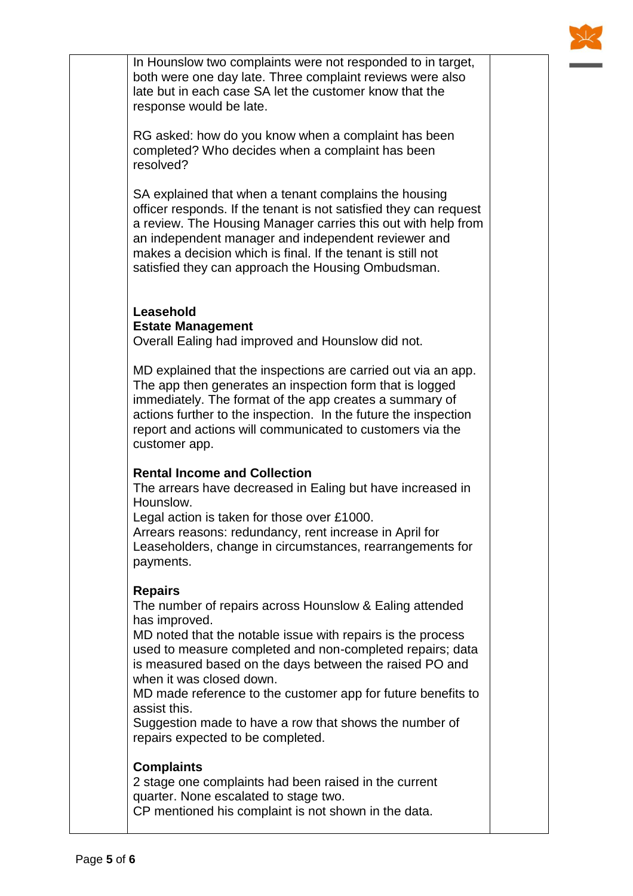

In Hounslow two complaints were not responded to in target, both were one day late. Three complaint reviews were also late but in each case SA let the customer know that the response would be late.

RG asked: how do you know when a complaint has been completed? Who decides when a complaint has been resolved?

SA explained that when a tenant complains the housing officer responds. If the tenant is not satisfied they can request a review. The Housing Manager carries this out with help from an independent manager and independent reviewer and makes a decision which is final. If the tenant is still not satisfied they can approach the Housing Ombudsman.

### **Leasehold Estate Management**

Overall Ealing had improved and Hounslow did not.

MD explained that the inspections are carried out via an app. The app then generates an inspection form that is logged immediately. The format of the app creates a summary of actions further to the inspection. In the future the inspection report and actions will communicated to customers via the customer app.

### **Rental Income and Collection**

The arrears have decreased in Ealing but have increased in Hounslow.

Legal action is taken for those over £1000.

Arrears reasons: redundancy, rent increase in April for Leaseholders, change in circumstances, rearrangements for payments.

### **Repairs**

The number of repairs across Hounslow & Ealing attended has improved.

MD noted that the notable issue with repairs is the process used to measure completed and non-completed repairs; data is measured based on the days between the raised PO and when it was closed down.

MD made reference to the customer app for future benefits to assist this.

Suggestion made to have a row that shows the number of repairs expected to be completed.

### **Complaints**

2 stage one complaints had been raised in the current quarter. None escalated to stage two. CP mentioned his complaint is not shown in the data.